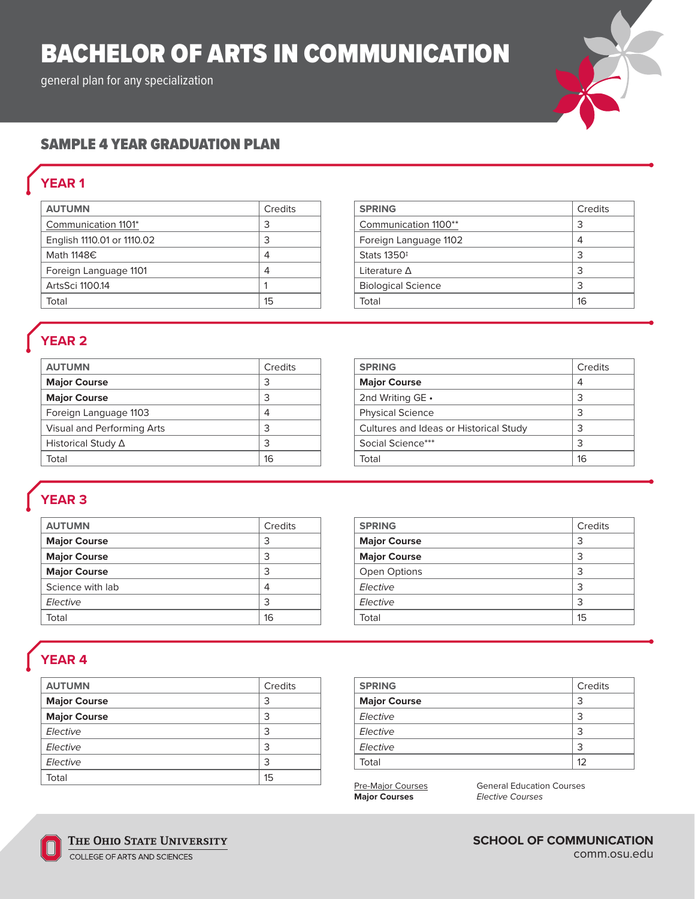# BACHELOR OF ARTS IN COMMUNICATION

general plan for any specialization



### SAMPLE 4 YEAR GRADUATION PLAN

## **YEAR 1**

| <b>AUTUMN</b>              | Credits |
|----------------------------|---------|
| Communication 1101*        | 3       |
| English 1110.01 or 1110.02 | 3       |
| Math 1148€                 | 4       |
| Foreign Language 1101      | 4       |
| ArtsSci 1100.14            |         |
| Total                      | 15      |

| <b>SPRING</b>             | Credits |
|---------------------------|---------|
| Communication 1100**      | 3       |
| Foreign Language 1102     | 4       |
| Stats 1350 <sup>‡</sup>   | 3       |
| Literature $\Delta$       | 3       |
| <b>Biological Science</b> | 3       |
| Total                     | 16      |
|                           |         |

### **YEAR 2**

| <b>AUTUMN</b>              | Credits | <b>SPRING</b>               |
|----------------------------|---------|-----------------------------|
| <b>Major Course</b>        |         | <b>Major Course</b>         |
| <b>Major Course</b>        |         | 2nd Writing GE •            |
| Foreign Language 1103      | 4       | <b>Physical Science</b>     |
| Visual and Performing Arts |         | Cultures and Ideas or Histo |
| Historical Study ∆         |         | Social Science***           |
| Total                      | 16      | Total                       |

#### **Credits Major Course** 4 2nd Writing GE • 3 Physical Science 3  $\text{prical Study} \quad |3$ Social Science\*\*\* 3 Total and the set of the set of the set of the set of the set of the set of the set of the set of the set of the set of the set of the set of the set of the set of the set of the set of the set of the set of the set of the

## **YEAR 3**

| <b>AUTUMN</b>       | Credits | <b>SPRING</b>       | Credits |
|---------------------|---------|---------------------|---------|
| <b>Major Course</b> | 3       | <b>Major Course</b> | 3       |
| <b>Major Course</b> | 3       | <b>Major Course</b> | 3       |
| <b>Major Course</b> | 3       | Open Options        | 3       |
| Science with lab    | 4       | Elective            | 3       |
| Elective            | 3       | Elective            |         |
| Total               | 16      | Total               | 15      |

### **YEAR 4**

| <b>AUTUMN</b>       | Credits |
|---------------------|---------|
| <b>Major Course</b> | 3       |
| <b>Major Course</b> | 3       |
| Elective            | 3       |
| Elective            | 3       |
| Elective            | 3       |
| Total               | 15      |

| <b>SPRING</b>       | Credits |
|---------------------|---------|
| <b>Major Course</b> | 3       |
| Elective            | 3       |
| Elective            | 3       |
| Elective            | 3       |
| Total               | 12      |

**Pre-Major Courses** General Education Courses<br> **Major Courses** *Elective Courses* **Major Courses** *Elective Courses*